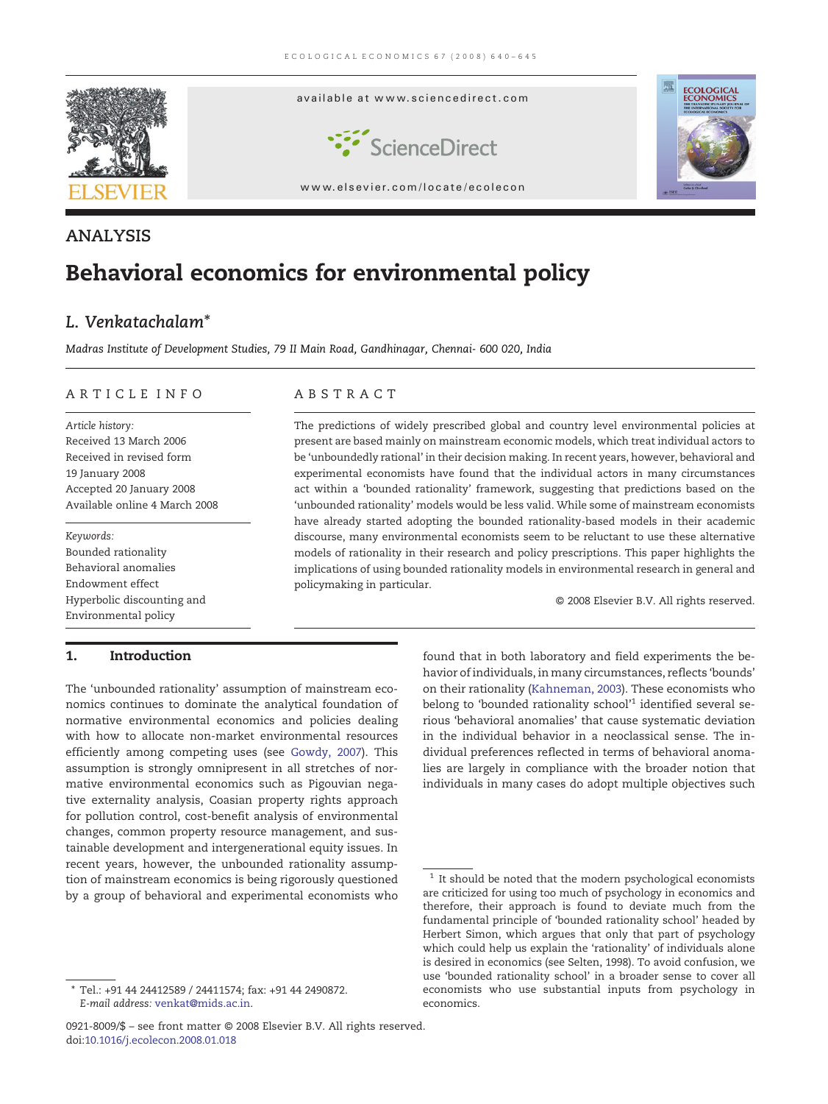

# ANALYSIS Behavioral economics for environmental policy

## L. Venkatachalam<sup>\*</sup>

Madras Institute of Development Studies, 79 II Main Road, Gandhinagar, Chennai- 600 020, India

### ARTICLE INFO ABSTRACT

Article history: Received 13 March 2006 Received in revised form 19 January 2008 Accepted 20 January 2008 Available online 4 March 2008

Keywords: Bounded rationality Behavioral anomalies Endowment effect Hyperbolic discounting and Environmental policy

### 1. Introduction

The predictions of widely prescribed global and country level environmental policies at present are based mainly on mainstream economic models, which treat individual actors to be 'unboundedly rational' in their decision making. In recent years, however, behavioral and experimental economists have found that the individual actors in many circumstances act within a 'bounded rationality' framework, suggesting that predictions based on the 'unbounded rationality' models would be less valid. While some of mainstream economists have already started adopting the bounded rationality-based models in their academic discourse, many environmental economists seem to be reluctant to use these alternative models of rationality in their research and policy prescriptions. This paper highlights the implications of using bounded rationality models in environmental research in general and policymaking in particular.

© 2008 Elsevier B.V. All rights reserved.

The 'unbounded rationality' assumption of mainstream economics continues to dominate the analytical foundation of normative environmental economics and policies dealing with how to allocate non-market environmental resources efficiently among competing uses (see [Gowdy, 2007](#page--1-0)). This assumption is strongly omnipresent in all stretches of normative environmental economics such as Pigouvian negative externality analysis, Coasian property rights approach for pollution control, cost-benefit analysis of environmental changes, common property resource management, and sustainable development and intergenerational equity issues. In recent years, however, the unbounded rationality assumption of mainstream economics is being rigorously questioned by a group of behavioral and experimental economists who found that in both laboratory and field experiments the behavior of individuals, in many circumstances, reflects 'bounds' on their rationality ([Kahneman, 2003](#page--1-0)). These economists who belong to 'bounded rationality school' <sup>1</sup> identified several serious 'behavioral anomalies' that cause systematic deviation in the individual behavior in a neoclassical sense. The individual preferences reflected in terms of behavioral anomalies are largely in compliance with the broader notion that individuals in many cases do adopt multiple objectives such

<sup>⁎</sup> Tel.: +91 44 24412589 / 24411574; fax: +91 44 2490872. E-mail address: [venkat@mids.ac.in](mailto:venkat@mids.ac.in).

<sup>0921-8009/\$</sup> – see front matter © 2008 Elsevier B.V. All rights reserved. doi:[10.1016/j.ecolecon.2008.01.018](http://dx.doi.org/10.1016/j.ecolecon.2008.01.018)

 $^{\rm 1}$  It should be noted that the modern psychological economists are criticized for using too much of psychology in economics and therefore, their approach is found to deviate much from the fundamental principle of 'bounded rationality school' headed by Herbert Simon, which argues that only that part of psychology which could help us explain the 'rationality' of individuals alone is desired in economics (see Selten, 1998). To avoid confusion, we use 'bounded rationality school' in a broader sense to cover all economists who use substantial inputs from psychology in economics.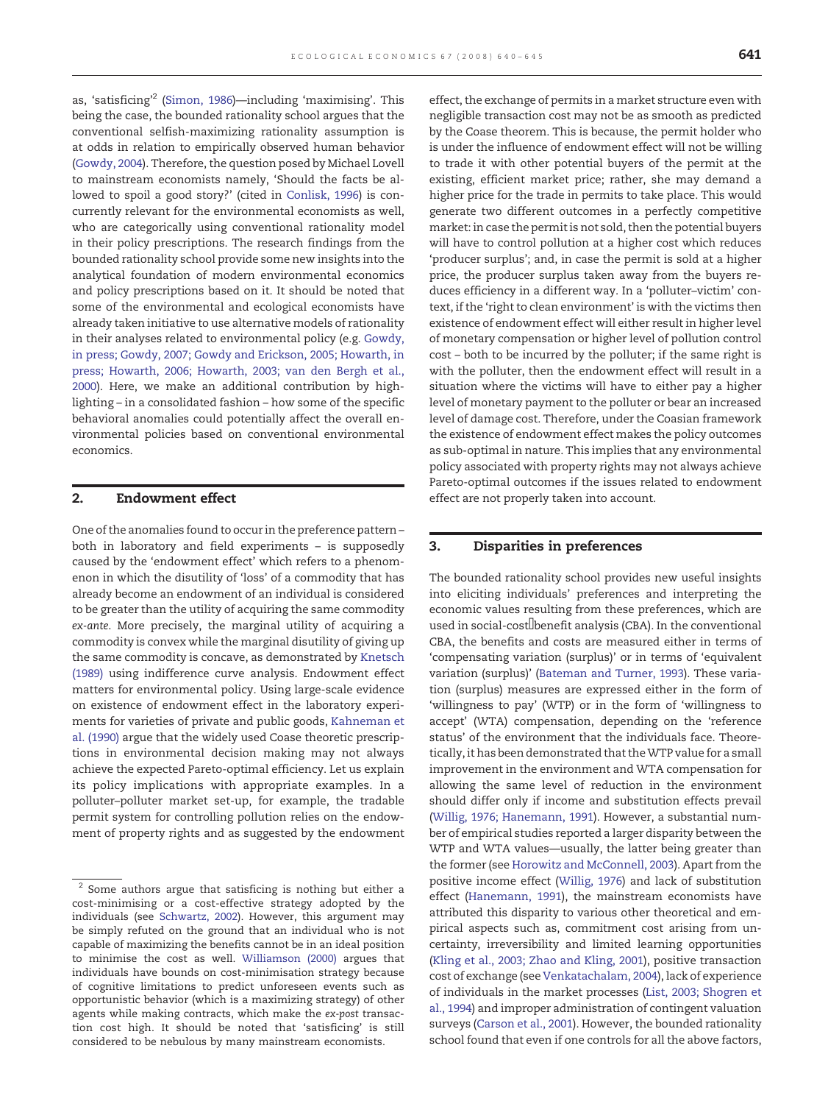as, 'satisficing' <sup>2</sup> [\(Simon, 1986](#page--1-0))—including 'maximising'. This being the case, the bounded rationality school argues that the conventional selfish-maximizing rationality assumption is at odds in relation to empirically observed human behavior [\(Gowdy, 2004\)](#page--1-0). Therefore, the question posed by Michael Lovell to mainstream economists namely, 'Should the facts be allowed to spoil a good story?' (cited in [Conlisk, 1996](#page--1-0)) is concurrently relevant for the environmental economists as well, who are categorically using conventional rationality model in their policy prescriptions. The research findings from the bounded rationality school provide some new insights into the analytical foundation of modern environmental economics and policy prescriptions based on it. It should be noted that some of the environmental and ecological economists have already taken initiative to use alternative models of rationality in their analyses related to environmental policy (e.g. [Gowdy,](#page--1-0) [in press; Gowdy, 2007; Gowdy and Erickson, 2005; Howarth, in](#page--1-0) [press; Howarth, 2006; Howarth, 2003; van den Bergh et al.,](#page--1-0) [2000](#page--1-0)). Here, we make an additional contribution by highlighting – in a consolidated fashion – how some of the specific behavioral anomalies could potentially affect the overall environmental policies based on conventional environmental economics.

### 2. Endowment effect

One of the anomalies found to occur in the preference pattern – both in laboratory and field experiments – is supposedly caused by the 'endowment effect' which refers to a phenomenon in which the disutility of 'loss' of a commodity that has already become an endowment of an individual is considered to be greater than the utility of acquiring the same commodity ex-ante. More precisely, the marginal utility of acquiring a commodity is convex while the marginal disutility of giving up the same commodity is concave, as demonstrated by [Knetsch](#page--1-0) [\(1989\)](#page--1-0) using indifference curve analysis. Endowment effect matters for environmental policy. Using large-scale evidence on existence of endowment effect in the laboratory experiments for varieties of private and public goods, [Kahneman et](#page--1-0) [al. \(1990\)](#page--1-0) argue that the widely used Coase theoretic prescriptions in environmental decision making may not always achieve the expected Pareto-optimal efficiency. Let us explain its policy implications with appropriate examples. In a polluter–polluter market set-up, for example, the tradable permit system for controlling pollution relies on the endowment of property rights and as suggested by the endowment

effect, the exchange of permits in a market structure even with negligible transaction cost may not be as smooth as predicted by the Coase theorem. This is because, the permit holder who is under the influence of endowment effect will not be willing to trade it with other potential buyers of the permit at the existing, efficient market price; rather, she may demand a higher price for the trade in permits to take place. This would generate two different outcomes in a perfectly competitive market: in case the permit is not sold, then the potential buyers will have to control pollution at a higher cost which reduces 'producer surplus'; and, in case the permit is sold at a higher price, the producer surplus taken away from the buyers reduces efficiency in a different way. In a 'polluter–victim' context, if the 'right to clean environment' is with the victims then existence of endowment effect will either result in higher level of monetary compensation or higher level of pollution control cost – both to be incurred by the polluter; if the same right is with the polluter, then the endowment effect will result in a situation where the victims will have to either pay a higher level of monetary payment to the polluter or bear an increased level of damage cost. Therefore, under the Coasian framework the existence of endowment effect makes the policy outcomes as sub-optimal in nature. This implies that any environmental policy associated with property rights may not always achieve Pareto-optimal outcomes if the issues related to endowment effect are not properly taken into account.

### 3. Disparities in preferences

The bounded rationality school provides new useful insights into eliciting individuals' preferences and interpreting the economic values resulting from these preferences, which are used in social-cost *benefit analysis* (CBA). In the conventional CBA, the benefits and costs are measured either in terms of 'compensating variation (surplus)' or in terms of 'equivalent variation (surplus)' ([Bateman and Turner, 1993\)](#page--1-0). These variation (surplus) measures are expressed either in the form of 'willingness to pay' (WTP) or in the form of 'willingness to accept' (WTA) compensation, depending on the 'reference status' of the environment that the individuals face. Theoretically, it has been demonstrated that theWTP value for a small improvement in the environment and WTA compensation for allowing the same level of reduction in the environment should differ only if income and substitution effects prevail [\(Willig, 1976; Hanemann, 1991](#page--1-0)). However, a substantial number of empirical studies reported a larger disparity between the WTP and WTA values—usually, the latter being greater than the former (see [Horowitz and McConnell, 2003\)](#page--1-0). Apart from the positive income effect [\(Willig, 1976\)](#page--1-0) and lack of substitution effect ([Hanemann, 1991](#page--1-0)), the mainstream economists have attributed this disparity to various other theoretical and empirical aspects such as, commitment cost arising from uncertainty, irreversibility and limited learning opportunities [\(Kling et al., 2003; Zhao and Kling, 2001](#page--1-0)), positive transaction cost of exchange (see [Venkatachalam, 2004](#page--1-0)), lack of experience of individuals in the market processes ([List, 2003; Shogren et](#page--1-0) [al., 1994\)](#page--1-0) and improper administration of contingent valuation surveys [\(Carson et al., 2001](#page--1-0)). However, the bounded rationality school found that even if one controls for all the above factors,

<sup>&</sup>lt;sup>2</sup> Some authors argue that satisficing is nothing but either a cost-minimising or a cost-effective strategy adopted by the individuals (see [Schwartz, 2002](#page--1-0)). However, this argument may be simply refuted on the ground that an individual who is not capable of maximizing the benefits cannot be in an ideal position to minimise the cost as well. [Williamson \(2000\)](#page--1-0) argues that individuals have bounds on cost-minimisation strategy because of cognitive limitations to predict unforeseen events such as opportunistic behavior (which is a maximizing strategy) of other agents while making contracts, which make the ex-post transaction cost high. It should be noted that 'satisficing' is still considered to be nebulous by many mainstream economists.